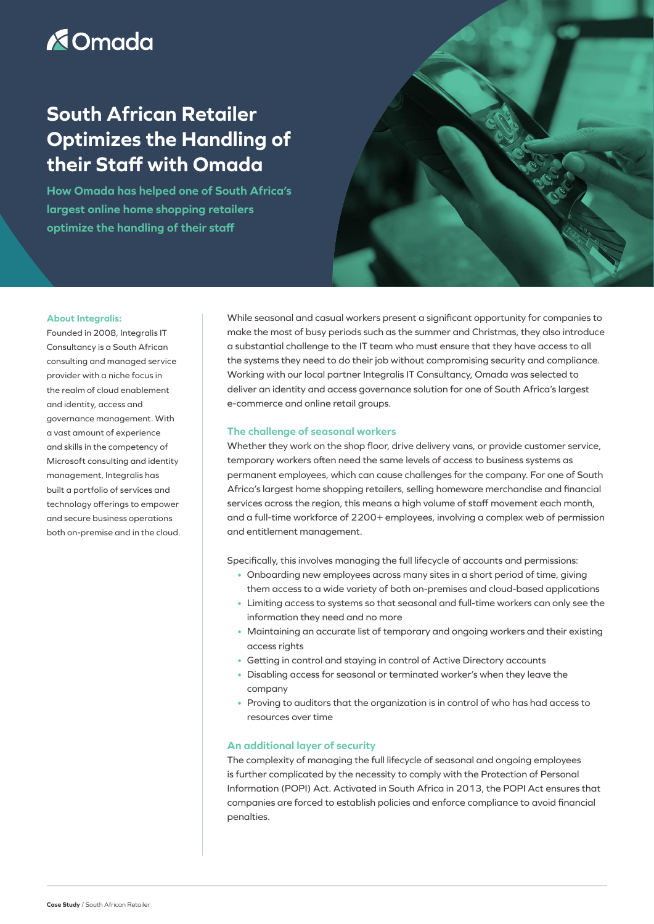# **X**Omada

# **South African Retailer Optimizes the Handling of their Staff with Omada**

**How Omada has helped one of South Africa's largest online home shopping retailers optimize the handling of their staff**



#### **About Integralis:**

Founded in 2008, Integralis IT Consultancy is a South African consulting and managed service provider with a niche focus in the realm of cloud enablement and identity, access and governance management. With a vast amount of experience and skills in the competency of Microsoft consulting and identity management, Integralis has built a portfolio of services and technology offerings to empower and secure business operations both on-premise and in the cloud. While seasonal and casual workers present a significant opportunity for companies to make the most of busy periods such as the summer and Christmas, they also introduce a substantial challenge to the IT team who must ensure that they have access to all the systems they need to do their job without compromising security and compliance. Working with our local partner Integralis IT Consultancy, Omada was selected to deliver an identity and access governance solution for one of South Africa's largest e-commerce and online retail groups.

## **The challenge of seasonal workers**

Whether they work on the shop floor, drive delivery vans, or provide customer service, temporary workers often need the same levels of access to business systems as permanent employees, which can cause challenges for the company. For one of South Africa's largest home shopping retailers, selling homeware merchandise and financial services across the region, this means a high volume of staff movement each month, and a full-time workforce of 2200+ employees, involving a complex web of permission and entitlement management.

Specifically, this involves managing the full lifecycle of accounts and permissions:

- Onboarding new employees across many sites in a short period of time, giving them access to a wide variety of both on-premises and cloud-based applications
- Limiting access to systems so that seasonal and full-time workers can only see the information they need and no more
- Maintaining an accurate list of temporary and ongoing workers and their existing access rights
- Getting in control and staying in control of Active Directory accounts
- Disabling access for seasonal or terminated worker's when they leave the company
- Proving to auditors that the organization is in control of who has had access to resources over time

## **An additional layer of security**

The complexity of managing the full lifecycle of seasonal and ongoing employees is further complicated by the necessity to comply with the Protection of Personal Information (POPI) Act. Activated in South Africa in 2013, the POPI Act ensures that companies are forced to establish policies and enforce compliance to avoid financial penalties.